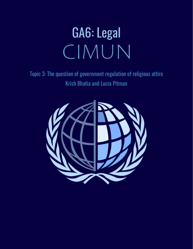# GA6: Legal CIMUN

Topic 3: The question of government regulation of religious attire Krish Bhatia and Lucia Pitman

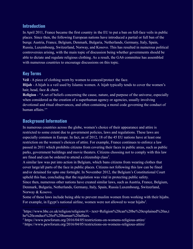## **Introduction**

In April 2011, France became the first country in the EU to put a ban on full-face veils in public places. Since then, the following European nations have introduced a partial or full ban of the burqa: Austria, France, Belgium, Denmark, Bulgaria, Netherlands, Germany, Italy, Spain, Russia, Luxembourg, Switzerland, Norway, and Kosovo. This has resulted in numerous political controversies arising, with the main topic of discussion being whether governments should be able to dictate and regulate religious clothing. As a result, the GA6 committee has assembled with numerous countries to encourage discussions on this topic.

# **Key Terms**

**Veil** - A piece of clothing worn by women to conceal/protect the face.

**Hijab** - A hijab is a veil used by Islamic women. A hijab typically tends to cover the women's hair, head, face & chest.

**Religion** - "A set of beliefs concerning the cause, nature, and purpose of the universe, especially when considered as the creation of a superhuman agency or agencies, usually involving devotional and ritual observances, and often containing a moral code governing the conduct of human affairs $1"$ 

## **Background Information**

In numerous countries across the globe, women's choice of their appearance and attire is restricted to some extent due to government policies, laws and regulations. These laws are especially common in Europe. In fact, as of 2012, 18 of the 45 EU nations have at least one restriction on the women's choices of attire. For example, France continues to enforce a law passed in 2011 which prohibits citizens from covering their faces in public areas, such as public parks, government buildings and movie theaters. Citizens choosing not to comply with this law are fined and can be ordered to attend a citizenship class<sup>2</sup>.

A similar law was put into action in Belgium, which bans citizens from wearing clothes that cover large/all parts of the face in public places. Citizens not following this law can be fined and/or detained for upto one fortnight. In November 2012, the Belgium's Constitutional Court upheld this ban, concluding that the regulation was vital in protecting public safety. Since then, numerous other nations have created similar laws, such as Austria, France, Belgium,

Denmark, Bulgaria, Netherlands, Germany, Italy, Spain, Russia Luxembourg, Switzerland, Norway & Kosovo.

Some of these laws include being able to prevent muslim women from working with their hijabs. For example, in Egypt's national airline, women were not allowed to wear hijabs<sup>3</sup>.

<sup>2</sup> https://www.pewforum.org/2016/04/05/restrictions-on-womens-religious-attire/

<sup>1</sup>https://www.bbc.co.uk/religion/religions/#:~:text=Religion%20can%20be%20explained%20as,t he%20conduct%20of%20human%20affairs.

<sup>3</sup> https://www.pewforum.org/2016/04/05/restrictions-on-womens-religious-attire/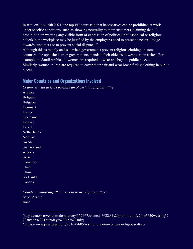In fact, on July 15th 2021, the top EU court said that headscarves can be prohibited at work under specific conditions, such as showing neutrality to their customers, claiming that "A prohibition on wearing any visible form of expression of political, philosophical or religious beliefs in the workplace may be justified by the employer's need to present a neutral image towards customers or to prevent social disputes<sup>4</sup>."

Although this is mainly an issue when governments prevent religious clothing, in some countries, the opposite is true: governments mandate their citizens to wear certain attires. For example, in Saudi Arabia, all women are required to wear an abaya in public places. Similarly, women in Iran are required to cover their hair and wear loose-fitting clothing in public places.

#### **Major Countries and Organizations involved**

*Countries with at least partial ban of certain religious attire:*

Austria Belgium Bulgaria Denmark France Germany Kosovo Latvia **Netherlands** Norway Sweden Switzerland Algeria Syria Cameroon Chad China Sri Lanka Canada

*Countries enforcing all citizens to wear religious attire:* Saudi Arabia  $\text{Iran}^5$ 

<sup>&</sup>lt;sup>4</sup>https://euobserver.com/democracy/152467#:~:text=%22A%20prohibition%20on%20wearing% 20any,on%20Thursday%20(15%20July).

<sup>&</sup>lt;sup>5</sup> https://www.pewforum.org/2016/04/05/restrictions-on-womens-religious-attire/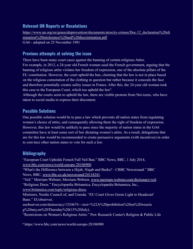# **Relevant UN Reports or Resolutions**

https://www.un.org/en/genocideprevention/documents/atrocity-crimes/Doc.12 declaration%20eli [mination%20intolerance%20and%20discrimination.pdf](https://www.un.org/en/genocideprevention/documents/atrocity-crimes/Doc.12_declaration%20elimination%20intolerance%20and%20discrimination.pdf) GA6 - adopted on 25 November 1981

## **Previous attempts at solving the issue**

There have been many court cases against the banning of certain religious Attire. For example, in 2012, a 24-year old French woman sued the French government, arguing that the banning of religious attire violates her freedom of expression, one of the absolute pillars of the EU constitution. However, the court upheld the ban, claiming that the law is not in place based on the religious connotation of the clothing in question but rather because it conceals the face and therefore potentially creates safety issues in France. After this, the 24-year old woman took this case to the European Court, which too upheld the law<sup>6</sup>.

Although the courts seem to upheld the law, there are visible protests from Net-izens, who have taken to social media to express their discontent.

## **Possible Solutions**

One possible solution would be to pass a law which prevents all nation states from regulating women's choice of attire, and consequently allowing them the right of freedom of expression. However, this law would be unlikely to pass since the majority of nation states in the GA6 committee have at least some sort of law dictating women's attire. As a result, delegations that are for this law would be recommended to create persuasive arguments (with incentives) in order to convince other nation states to vote for such a law.

# **Bibliography**

"European Court Upholds French Full Veil Ban." BBC News, BBC, 1 July 2014, [www.bbc.com/news/world-europe-28106900](http://www.bbc.com/news/world-europe-28106900).

"What's the Difference between a Hijab, Niqab and Burka? - CBBC Newsround." BBC News, BBC, [www.bbc.co.uk/newsround/24118241](http://www.bbc.co.uk/newsround/24118241).

"Veil." Merriam-Webster, Merriam-Webster, [www.merriam-webster.com/dictionary/veil.](http://www.merriam-webster.com/dictionary/veil) "Religious Dress." Encyclopædia Britannica, Encyclopædia Britannica, Inc.,

[www.britannica.com/topic/religious-dress](http://www.britannica.com/topic/religious-dress).

Ministers, Nordic Council of, and Unesda. "EU Court Gives Green Light to Headscarf Bans." EUobserver,

euobserver.com/democracy/152467#:~:text=%22A%20prohibition%20on%20wearin g%20any,on%20Thursday%20(15%20July).

"Restrictions on Women's Religious Attire." Pew Research Center's Religion & Public Life

<sup>6</sup> https://www.bbc.com/news/world-europe-28106900